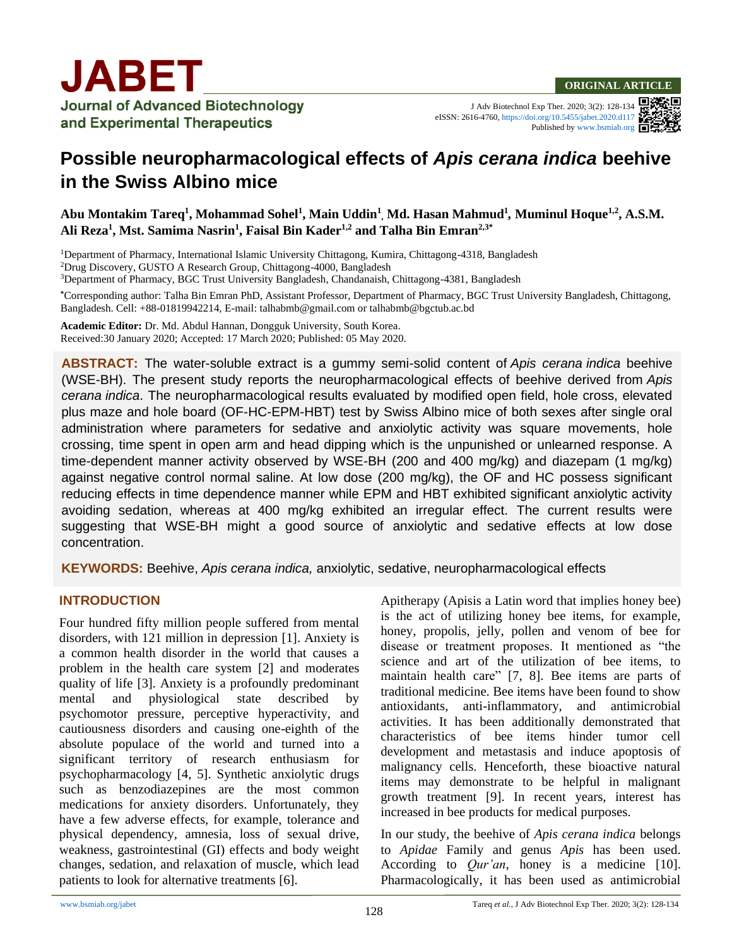J Adv Biotechnol Exp Ther. 2020; 3(2): 128-134 eISSN: 2616-4760[, https://doi.org/10.5455/jabet.2020.d117](https://doi.org/10.5455/jabet.2020.d117) Published b[y www.bsmiab.org](http://www.bsmiab.org/)

# **Possible neuropharmacological effects of** *Apis cerana indica* **beehive in the Swiss Albino mice**

**Abu Montakim Tareq<sup>1</sup> , Mohammad Sohel<sup>1</sup> , Main Uddin<sup>1</sup> , Md. Hasan Mahmud<sup>1</sup>** *,* **Muminul Hoque1,2 , A.S.M. Ali Reza<sup>1</sup> , Mst. Samima Nasrin<sup>1</sup> , Faisal Bin Kader1,2 and Talha Bin Emran2,3\***

<sup>1</sup>Department of Pharmacy, International Islamic University Chittagong, Kumira, Chittagong-4318, Bangladesh <sup>2</sup>Drug Discovery, GUSTO A Research Group, Chittagong-4000, Bangladesh

<sup>3</sup>Department of Pharmacy, BGC Trust University Bangladesh, Chandanaish, Chittagong-4381, Bangladesh

**\***Corresponding author: Talha Bin Emran PhD, Assistant Professor, Department of Pharmacy, BGC Trust University Bangladesh, Chittagong, Bangladesh. Cell: +88-01819942214, E-mail: talhabmb@gmail.com or talhabmb@bgctub.ac.bd

**Academic Editor:** Dr. Md. Abdul Hannan, Dongguk University, South Korea. Received:30 January 2020; Accepted: 17 March 2020; Published: 05 May 2020.

**ABSTRACT:** The water-soluble extract is a gummy semi-solid content of *Apis cerana indica* beehive (WSE-BH). The present study reports the neuropharmacological effects of beehive derived from *Apis cerana indica*. The neuropharmacological results evaluated by modified open field, hole cross, elevated plus maze and hole board (OF-HC-EPM-HBT) test by Swiss Albino mice of both sexes after single oral administration where parameters for sedative and anxiolytic activity was square movements, hole crossing, time spent in open arm and head dipping which is the unpunished or unlearned response. A time-dependent manner activity observed by WSE-BH (200 and 400 mg/kg) and diazepam (1 mg/kg) against negative control normal saline. At low dose (200 mg/kg), the OF and HC possess significant reducing effects in time dependence manner while EPM and HBT exhibited significant anxiolytic activity avoiding sedation, whereas at 400 mg/kg exhibited an irregular effect. The current results were suggesting that WSE-BH might a good source of anxiolytic and sedative effects at low dose concentration.

**KEYWORDS:** Beehive, *Apis cerana indica,* anxiolytic, sedative, neuropharmacological effects

#### **INTRODUCTION**

Four hundred fifty million people suffered from mental disorders, with 121 million in depression [1]. Anxiety is a common health disorder in the world that causes a problem in the health care system [2] and moderates quality of life [3]. Anxiety is a profoundly predominant mental and physiological state described by psychomotor pressure, perceptive hyperactivity, and cautiousness disorders and causing one-eighth of the absolute populace of the world and turned into a significant territory of research enthusiasm for psychopharmacology [4, 5]. Synthetic anxiolytic drugs such as benzodiazepines are the most common medications for anxiety disorders. Unfortunately, they have a few adverse effects, for example, tolerance and physical dependency, amnesia, loss of sexual drive, weakness, gastrointestinal (GI) effects and body weight changes, sedation, and relaxation of muscle, which lead patients to look for alternative treatments [6].

Apitherapy (Apisis a Latin word that implies honey bee) is the act of utilizing honey bee items, for example, honey, propolis, jelly, pollen and venom of bee for disease or treatment proposes. It mentioned as "the science and art of the utilization of bee items, to maintain health care" [7, 8]. Bee items are parts of traditional medicine. Bee items have been found to show antioxidants, anti-inflammatory, and antimicrobial activities. It has been additionally demonstrated that characteristics of bee items hinder tumor cell development and metastasis and induce apoptosis of malignancy cells. Henceforth, these bioactive natural items may demonstrate to be helpful in malignant growth treatment [9]. In recent years, interest has increased in bee products for medical purposes.

In our study, the beehive of *Apis cerana indica* belongs to *Apidae* Family and genus *Apis* has been used. According to *Qur'an*, honey is a medicine [10]. Pharmacologically, it has been used as antimicrobial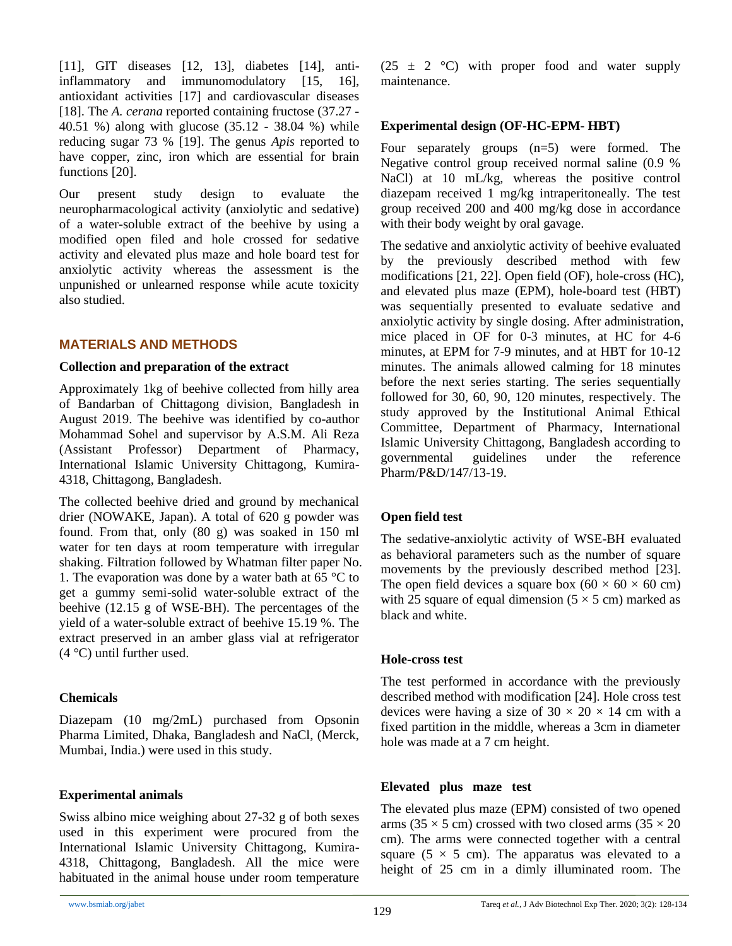[11], GIT diseases [12, 13], diabetes [14], antiinflammatory and immunomodulatory [15, 16], antioxidant activities [17] and cardiovascular diseases [18]. The *A. cerana* reported containing fructose (37.27 - 40.51 %) along with glucose (35.12 - 38.04 %) while reducing sugar 73 % [19]. The genus *Apis* reported to have copper, zinc, iron which are essential for brain functions [20].

Our present study design to evaluate the neuropharmacological activity (anxiolytic and sedative) of a water-soluble extract of the beehive by using a modified open filed and hole crossed for sedative activity and elevated plus maze and hole board test for anxiolytic activity whereas the assessment is the unpunished or unlearned response while acute toxicity also studied.

## **MATERIALS AND METHODS**

#### **Collection and preparation of the extract**

Approximately 1kg of beehive collected from hilly area of Bandarban of Chittagong division, Bangladesh in August 2019. The beehive was identified by co-author Mohammad Sohel and supervisor by A.S.M. Ali Reza (Assistant Professor) Department of Pharmacy, International Islamic University Chittagong, Kumira-4318, Chittagong, Bangladesh.

The collected beehive dried and ground by mechanical drier (NOWAKE, Japan). A total of 620 g powder was found. From that, only (80 g) was soaked in 150 ml water for ten days at room temperature with irregular shaking. Filtration followed by Whatman filter paper No. 1. The evaporation was done by a water bath at 65  $\degree$ C to get a gummy semi-solid water-soluble extract of the beehive (12.15 g of WSE-BH). The percentages of the yield of a water-soluble extract of beehive 15.19 %. The extract preserved in an amber glass vial at refrigerator (4 °C) until further used.

## **Chemicals**

Diazepam (10 mg/2mL) purchased from Opsonin Pharma Limited, Dhaka, Bangladesh and NaCl, (Merck, Mumbai, India.) were used in this study.

## **Experimental animals**

Swiss albino mice weighing about 27-32 g of both sexes used in this experiment were procured from the International Islamic University Chittagong, Kumira-4318, Chittagong, Bangladesh. All the mice were habituated in the animal house under room temperature  $(25 \pm 2 \degree C)$  with proper food and water supply maintenance.

## **Experimental design (OF-HC-EPM- HBT)**

Four separately groups (n=5) were formed. The Negative control group received normal saline (0.9 % NaCl) at 10 mL/kg, whereas the positive control diazepam received 1 mg/kg intraperitoneally. The test group received 200 and 400 mg/kg dose in accordance with their body weight by oral gavage.

The sedative and anxiolytic activity of beehive evaluated by the previously described method with few modifications [21, 22]. Open field (OF), hole-cross (HC), and elevated plus maze (EPM), hole-board test (HBT) was sequentially presented to evaluate sedative and anxiolytic activity by single dosing. After administration, mice placed in OF for 0-3 minutes, at HC for 4-6 minutes, at EPM for 7-9 minutes, and at HBT for 10-12 minutes. The animals allowed calming for 18 minutes before the next series starting. The series sequentially followed for 30, 60, 90, 120 minutes, respectively. The study approved by the Institutional Animal Ethical Committee, Department of Pharmacy, International Islamic University Chittagong, Bangladesh according to governmental guidelines under the reference Pharm/P&D/147/13-19.

## **Open field test**

The sedative-anxiolytic activity of WSE-BH evaluated as behavioral parameters such as the number of square movements by the previously described method [23]. The open field devices a square box  $(60 \times 60 \times 60 \text{ cm})$ with 25 square of equal dimension  $(5 \times 5 \text{ cm})$  marked as black and white.

## **Hole-cross test**

The test performed in accordance with the previously described method with modification [24]. Hole cross test devices were having a size of  $30 \times 20 \times 14$  cm with a fixed partition in the middle, whereas a 3cm in diameter hole was made at a 7 cm height.

## **Elevated plus maze test**

The elevated plus maze (EPM) consisted of two opened arms (35  $\times$  5 cm) crossed with two closed arms (35  $\times$  20 cm). The arms were connected together with a central square ( $5 \times 5$  cm). The apparatus was elevated to a height of 25 cm in a dimly illuminated room. The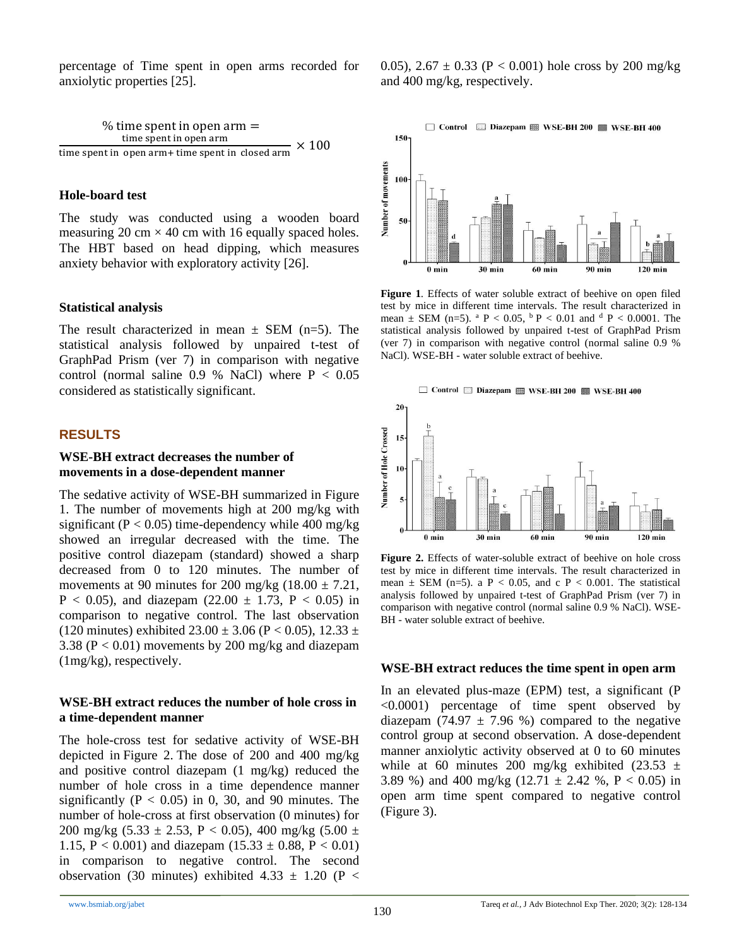percentage of Time spent in open arms recorded for anxiolytic properties [25].

% time spent in open arm =  
\ntime spent in open arm  
\ntime spent in open arm + time spent in closed arm 
$$
\times
$$
 100

#### **Hole-board test**

The study was conducted using a wooden board measuring 20 cm  $\times$  40 cm with 16 equally spaced holes. The HBT based on head dipping, which measures anxiety behavior with exploratory activity [26].

#### **Statistical analysis**

The result characterized in mean  $\pm$  SEM (n=5). The statistical analysis followed by unpaired t-test of GraphPad Prism (ver 7) in comparison with negative control (normal saline  $0.9 %$  NaCl) where  $P < 0.05$ considered as statistically significant.

#### **RESULTS**

#### **WSE-BH extract decreases the number of movements in a dose-dependent manner**

The sedative activity of WSE-BH summarized in Figure 1. The number of movements high at 200 mg/kg with significant ( $P < 0.05$ ) time-dependency while 400 mg/kg showed an irregular decreased with the time. The positive control diazepam (standard) showed a sharp decreased from 0 to 120 minutes. The number of movements at 90 minutes for 200 mg/kg  $(18.00 \pm 7.21,$  $P < 0.05$ ), and diazepam (22.00  $\pm$  1.73, P  $< 0.05$ ) in comparison to negative control. The last observation (120 minutes) exhibited  $23.00 \pm 3.06$  (P < 0.05), 12.33  $\pm$ 3.38 (P < 0.01) movements by 200 mg/kg and diazepam (1mg/kg), respectively.

#### **WSE-BH extract reduces the number of hole cross in a time-dependent manner**

The hole-cross test for sedative activity of WSE-BH depicted in Figure 2. The dose of 200 and 400 mg/kg and positive control diazepam (1 mg/kg) reduced the number of hole cross in a time dependence manner significantly  $(P < 0.05)$  in 0, 30, and 90 minutes. The number of hole-cross at first observation (0 minutes) for 200 mg/kg  $(5.33 \pm 2.53, P < 0.05)$ , 400 mg/kg  $(5.00 \pm 1)$ 1.15, P < 0.001) and diazepam  $(15.33 \pm 0.88, P < 0.01)$ in comparison to negative control. The second observation (30 minutes) exhibited 4.33  $\pm$  1.20 (P < 0.05),  $2.67 \pm 0.33$  (P < 0.001) hole cross by 200 mg/kg and 400 mg/kg, respectively.



**Figure 1**. Effects of water soluble extract of beehive on open filed test by mice in different time intervals. The result characterized in mean  $\pm$  SEM (n=5). <sup>a</sup> P < 0.05, <sup>b</sup> P < 0.01 and <sup>d</sup> P < 0.0001. The statistical analysis followed by unpaired t-test of GraphPad Prism (ver 7) in comparison with negative control (normal saline 0.9 % NaCl). WSE-BH - water soluble extract of beehive.



Figure 2. Effects of water-soluble extract of beehive on hole cross test by mice in different time intervals. The result characterized in mean  $\pm$  SEM (n=5). a P < 0.05, and c P < 0.001. The statistical analysis followed by unpaired t-test of GraphPad Prism (ver 7) in comparison with negative control (normal saline 0.9 % NaCl). WSE-BH - water soluble extract of beehive.

#### **WSE-BH extract reduces the time spent in open arm**

In an elevated plus-maze (EPM) test, a significant (P <0.0001) percentage of time spent observed by diazepam (74.97  $\pm$  7.96 %) compared to the negative control group at second observation. A dose-dependent manner anxiolytic activity observed at 0 to 60 minutes while at 60 minutes 200 mg/kg exhibited (23.53  $\pm$ 3.89 %) and 400 mg/kg  $(12.71 \pm 2.42 \% , P < 0.05)$  in open arm time spent compared to negative control (Figure 3).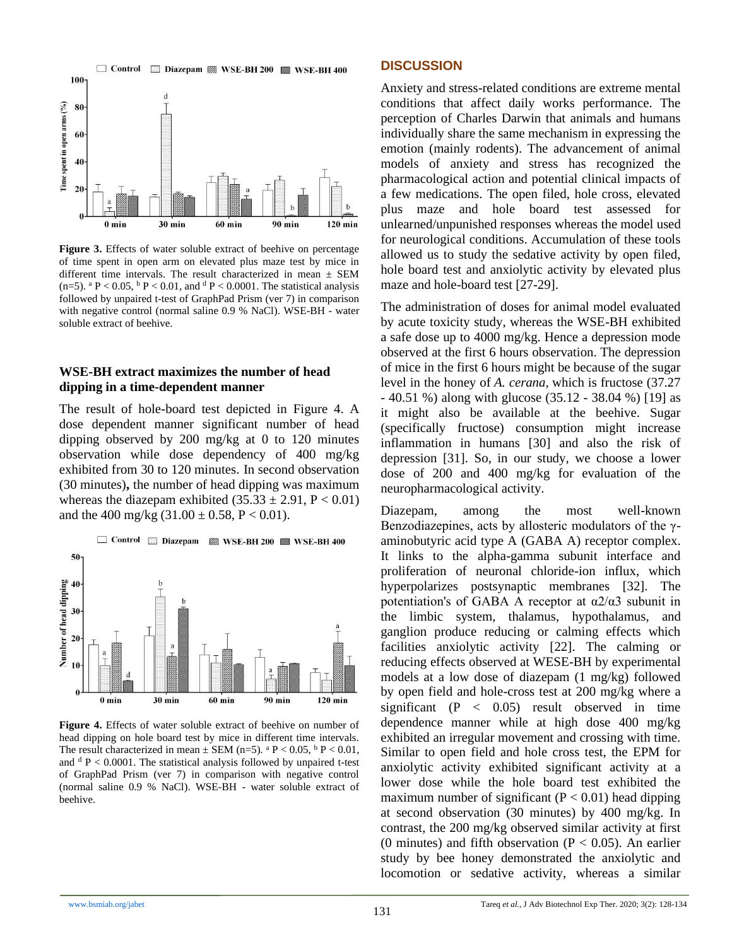

Figure 3. Effects of water soluble extract of beehive on percentage of time spent in open arm on elevated plus maze test by mice in different time intervals. The result characterized in mean  $\pm$  SEM (n=5).  $^{\circ}$  P < 0.05,  $^{\circ}$  P < 0.01, and  $^{\circ}$  P < 0.0001. The statistical analysis followed by unpaired t-test of GraphPad Prism (ver 7) in comparison with negative control (normal saline 0.9 % NaCl). WSE-BH - water soluble extract of beehive.

#### **WSE-BH extract maximizes the number of head dipping in a time-dependent manner**

The result of hole-board test depicted in Figure 4. A dose dependent manner significant number of head dipping observed by 200 mg/kg at 0 to 120 minutes observation while dose dependency of 400 mg/kg exhibited from 30 to 120 minutes. In second observation (30 minutes)**,** the number of head dipping was maximum whereas the diazepam exhibited  $(35.33 \pm 2.91, P < 0.01)$ and the 400 mg/kg  $(31.00 \pm 0.58, P < 0.01)$ .



Figure 4. Effects of water soluble extract of beehive on number of head dipping on hole board test by mice in different time intervals. The result characterized in mean  $\pm$  SEM (n=5). <sup>a</sup> P < 0.05, <sup>b</sup> P < 0.01, and  $d$  P < 0.0001. The statistical analysis followed by unpaired t-test of GraphPad Prism (ver 7) in comparison with negative control (normal saline 0.9 % NaCl). WSE-BH - water soluble extract of beehive.

#### **DISCUSSION**

Anxiety and stress-related conditions are extreme mental conditions that affect daily works performance. The perception of Charles Darwin that animals and humans individually share the same mechanism in expressing the emotion (mainly rodents). The advancement of animal models of anxiety and stress has recognized the pharmacological action and potential clinical impacts of a few medications. The open filed, hole cross, elevated plus maze and hole board test assessed for unlearned/unpunished responses whereas the model used for neurological conditions. Accumulation of these tools allowed us to study the sedative activity by open filed, hole board test and anxiolytic activity by elevated plus maze and hole-board test [27-29].

The administration of doses for animal model evaluated by acute toxicity study, whereas the WSE-BH exhibited a safe dose up to 4000 mg/kg. Hence a depression mode observed at the first 6 hours observation. The depression of mice in the first 6 hours might be because of the sugar level in the honey of *A. cerana,* which is fructose (37.27 - 40.51 %) along with glucose (35.12 - 38.04 %) [19] as it might also be available at the beehive. Sugar (specifically fructose) consumption might increase inflammation in humans [30] and also the risk of depression [31]. So, in our study, we choose a lower dose of 200 and 400 mg/kg for evaluation of the neuropharmacological activity.

Diazepam, among the most well-known Benzodiazepines, acts by allosteric modulators of the γaminobutyric acid type A (GABA A) receptor complex. It links to the alpha-gamma subunit interface and proliferation of neuronal chloride-ion influx, which hyperpolarizes postsynaptic membranes [32]. The potentiation's of GABA A receptor at  $\alpha$ 2/ $\alpha$ 3 subunit in the limbic system, thalamus, hypothalamus, and ganglion produce reducing or calming effects which facilities anxiolytic activity [22]. The calming or reducing effects observed at WESE-BH by experimental models at a low dose of diazepam (1 mg/kg) followed by open field and hole-cross test at 200 mg/kg where a significant  $(P < 0.05)$  result observed in time dependence manner while at high dose 400 mg/kg exhibited an irregular movement and crossing with time. Similar to open field and hole cross test, the EPM for anxiolytic activity exhibited significant activity at a lower dose while the hole board test exhibited the maximum number of significant  $(P < 0.01)$  head dipping at second observation (30 minutes) by 400 mg/kg. In contrast, the 200 mg/kg observed similar activity at first (0 minutes) and fifth observation ( $P < 0.05$ ). An earlier study by bee honey demonstrated the anxiolytic and locomotion or sedative activity, whereas a similar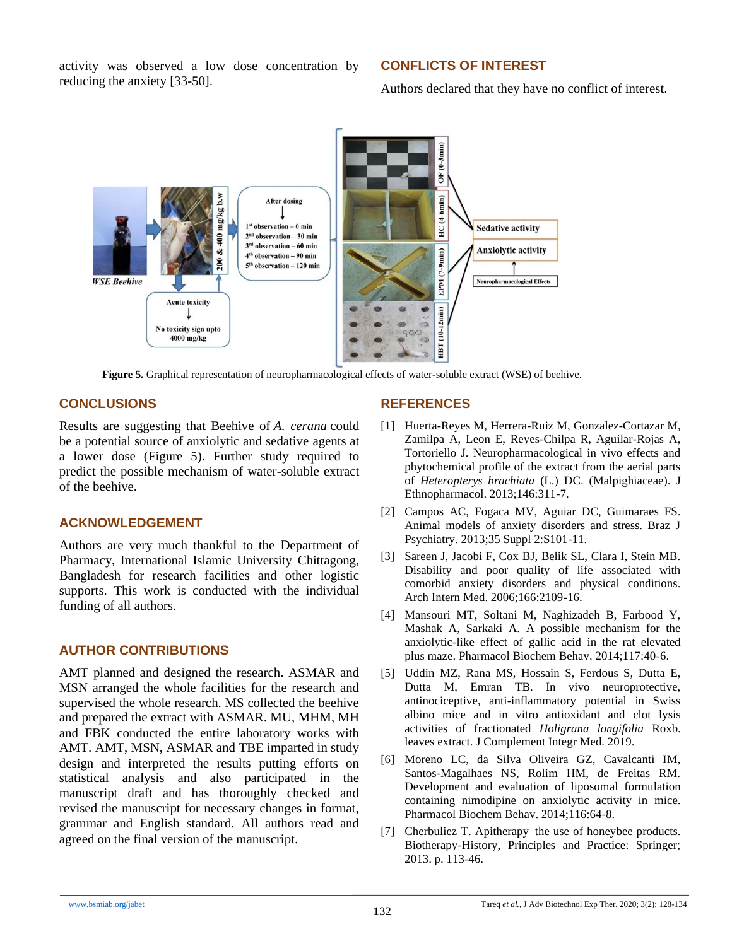activity was observed a low dose concentration by reducing the anxiety [33-50].

# **CONFLICTS OF INTEREST**

Authors declared that they have no conflict of interest.



**Figure 5.** Graphical representation of neuropharmacological effects of water-soluble extract (WSE) of beehive.

# **CONCLUSIONS**

Results are suggesting that Beehive of *A. cerana* could be a potential source of anxiolytic and sedative agents at a lower dose (Figure 5). Further study required to predict the possible mechanism of water-soluble extract of the beehive.

## **ACKNOWLEDGEMENT**

Authors are very much thankful to the Department of Pharmacy, International Islamic University Chittagong, Bangladesh for research facilities and other logistic supports. This work is conducted with the individual funding of all authors.

# **AUTHOR CONTRIBUTIONS**

AMT planned and designed the research. ASMAR and MSN arranged the whole facilities for the research and supervised the whole research. MS collected the beehive and prepared the extract with ASMAR. MU, MHM, MH and FBK conducted the entire laboratory works with AMT. AMT, MSN, ASMAR and TBE imparted in study design and interpreted the results putting efforts on statistical analysis and also participated in the manuscript draft and has thoroughly checked and revised the manuscript for necessary changes in format, grammar and English standard. All authors read and agreed on the final version of the manuscript.

## **REFERENCES**

- [1] Huerta-Reyes M, Herrera-Ruiz M, Gonzalez-Cortazar M, Zamilpa A, Leon E, Reyes-Chilpa R, Aguilar-Rojas A, Tortoriello J. Neuropharmacological in vivo effects and phytochemical profile of the extract from the aerial parts of *Heteropterys brachiata* (L.) DC. (Malpighiaceae). J Ethnopharmacol. 2013;146:311-7.
- [2] Campos AC, Fogaca MV, Aguiar DC, Guimaraes FS. Animal models of anxiety disorders and stress. Braz J Psychiatry. 2013;35 Suppl 2:S101-11.
- [3] Sareen J, Jacobi F, Cox BJ, Belik SL, Clara I, Stein MB. Disability and poor quality of life associated with comorbid anxiety disorders and physical conditions. Arch Intern Med. 2006;166:2109-16.
- [4] Mansouri MT, Soltani M, Naghizadeh B, Farbood Y, Mashak A, Sarkaki A. A possible mechanism for the anxiolytic-like effect of gallic acid in the rat elevated plus maze. Pharmacol Biochem Behav. 2014;117:40-6.
- [5] Uddin MZ, Rana MS, Hossain S, Ferdous S, Dutta E, Dutta M, Emran TB. In vivo neuroprotective, antinociceptive, anti-inflammatory potential in Swiss albino mice and in vitro antioxidant and clot lysis activities of fractionated *Holigrana longifolia* Roxb. leaves extract. J Complement Integr Med. 2019.
- [6] Moreno LC, da Silva Oliveira GZ, Cavalcanti IM, Santos-Magalhaes NS, Rolim HM, de Freitas RM. Development and evaluation of liposomal formulation containing nimodipine on anxiolytic activity in mice. Pharmacol Biochem Behav. 2014;116:64-8.
- [7] Cherbuliez T. Apitherapy–the use of honeybee products. Biotherapy-History, Principles and Practice: Springer; 2013. p. 113-46.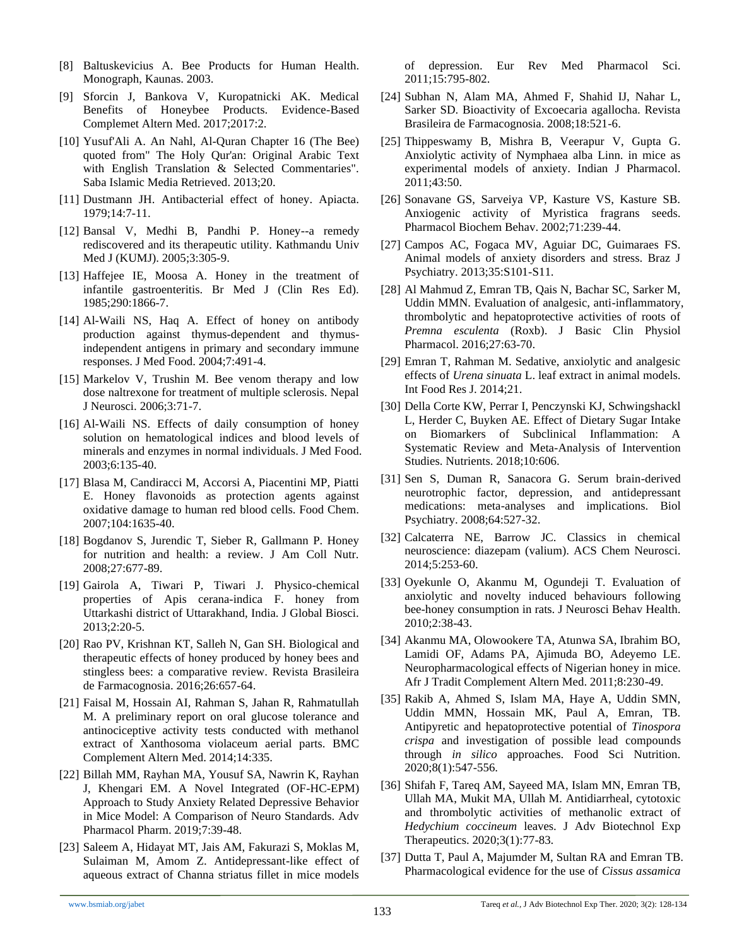- [8] Baltuskevicius A. Bee Products for Human Health. Monograph, Kaunas. 2003.
- [9] Sforcin J, Bankova V, Kuropatnicki AK. Medical Benefits of Honeybee Products. Evidence-Based Complemet Altern Med. 2017;2017:2.
- [10] Yusuf'Ali A. An Nahl, Al-Quran Chapter 16 (The Bee) quoted from" The Holy Qur'an: Original Arabic Text with English Translation & Selected Commentaries". Saba Islamic Media Retrieved. 2013;20.
- [11] Dustmann JH. Antibacterial effect of honey. Apiacta. 1979;14:7-11.
- [12] Bansal V, Medhi B, Pandhi P. Honey--a remedy rediscovered and its therapeutic utility. Kathmandu Univ Med J (KUMJ). 2005;3:305-9.
- [13] Haffejee IE, Moosa A. Honey in the treatment of infantile gastroenteritis. Br Med J (Clin Res Ed). 1985;290:1866-7.
- [14] Al-Waili NS, Haq A. Effect of honey on antibody production against thymus-dependent and thymusindependent antigens in primary and secondary immune responses. J Med Food. 2004;7:491-4.
- [15] Markelov V, Trushin M. Bee venom therapy and low dose naltrexone for treatment of multiple sclerosis. Nepal J Neurosci. 2006;3:71-7.
- [16] Al-Waili NS. Effects of daily consumption of honey solution on hematological indices and blood levels of minerals and enzymes in normal individuals. J Med Food. 2003;6:135-40.
- [17] Blasa M, Candiracci M, Accorsi A, Piacentini MP, Piatti E. Honey flavonoids as protection agents against oxidative damage to human red blood cells. Food Chem. 2007;104:1635-40.
- [18] Bogdanov S, Jurendic T, Sieber R, Gallmann P. Honey for nutrition and health: a review. J Am Coll Nutr. 2008;27:677-89.
- [19] Gairola A, Tiwari P, Tiwari J. Physico-chemical properties of Apis cerana-indica F. honey from Uttarkashi district of Uttarakhand, India. J Global Biosci. 2013;2:20-5.
- [20] Rao PV, Krishnan KT, Salleh N, Gan SH. Biological and therapeutic effects of honey produced by honey bees and stingless bees: a comparative review. Revista Brasileira de Farmacognosia. 2016;26:657-64.
- [21] Faisal M, Hossain AI, Rahman S, Jahan R, Rahmatullah M. A preliminary report on oral glucose tolerance and antinociceptive activity tests conducted with methanol extract of Xanthosoma violaceum aerial parts. BMC Complement Altern Med. 2014;14:335.
- [22] Billah MM, Rayhan MA, Yousuf SA, Nawrin K, Rayhan J, Khengari EM. A Novel Integrated (OF-HC-EPM) Approach to Study Anxiety Related Depressive Behavior in Mice Model: A Comparison of Neuro Standards. Adv Pharmacol Pharm. 2019;7:39-48.
- [23] Saleem A, Hidayat MT, Jais AM, Fakurazi S, Moklas M, Sulaiman M, Amom Z. Antidepressant-like effect of aqueous extract of Channa striatus fillet in mice models

of depression. Eur Rev Med Pharmacol Sci. 2011;15:795-802.

- [24] Subhan N, Alam MA, Ahmed F, Shahid IJ, Nahar L, Sarker SD. Bioactivity of Excoecaria agallocha. Revista Brasileira de Farmacognosia. 2008;18:521-6.
- [25] Thippeswamy B, Mishra B, Veerapur V, Gupta G. Anxiolytic activity of Nymphaea alba Linn. in mice as experimental models of anxiety. Indian J Pharmacol. 2011;43:50.
- [26] Sonavane GS, Sarveiya VP, Kasture VS, Kasture SB. Anxiogenic activity of Myristica fragrans seeds. Pharmacol Biochem Behav. 2002;71:239-44.
- [27] Campos AC, Fogaca MV, Aguiar DC, Guimaraes FS. Animal models of anxiety disorders and stress. Braz J Psychiatry. 2013;35:S101-S11.
- [28] Al Mahmud Z, Emran TB, Qais N, Bachar SC, Sarker M, Uddin MMN. Evaluation of analgesic, anti-inflammatory, thrombolytic and hepatoprotective activities of roots of *Premna esculenta* (Roxb). J Basic Clin Physiol Pharmacol. 2016;27:63-70.
- [29] Emran T, Rahman M. Sedative, anxiolytic and analgesic effects of *Urena sinuata* L. leaf extract in animal models. Int Food Res J. 2014;21.
- [30] Della Corte KW, Perrar I, Penczynski KJ, Schwingshackl L, Herder C, Buyken AE. Effect of Dietary Sugar Intake on Biomarkers of Subclinical Inflammation: A Systematic Review and Meta-Analysis of Intervention Studies. Nutrients. 2018;10:606.
- [31] Sen S, Duman R, Sanacora G. Serum brain-derived neurotrophic factor, depression, and antidepressant medications: meta-analyses and implications. Biol Psychiatry. 2008;64:527-32.
- [32] Calcaterra NE, Barrow JC. Classics in chemical neuroscience: diazepam (valium). ACS Chem Neurosci. 2014;5:253-60.
- [33] Oyekunle O, Akanmu M, Ogundeji T. Evaluation of anxiolytic and novelty induced behaviours following bee-honey consumption in rats. J Neurosci Behav Health. 2010;2:38-43.
- [34] Akanmu MA, Olowookere TA, Atunwa SA, Ibrahim BO, Lamidi OF, Adams PA, Ajimuda BO, Adeyemo LE. Neuropharmacological effects of Nigerian honey in mice. Afr J Tradit Complement Altern Med. 2011;8:230-49.
- [35] Rakib A, Ahmed S, Islam MA, Haye A, Uddin SMN, Uddin MMN, Hossain MK, Paul A, Emran, TB. Antipyretic and hepatoprotective potential of *Tinospora crispa* and investigation of possible lead compounds through *in silico* approaches. Food Sci Nutrition. 2020;8(1):547-556.
- [36] Shifah F, Tareq AM, Sayeed MA, Islam MN, Emran TB, Ullah MA, Mukit MA, Ullah M. Antidiarrheal, cytotoxic and thrombolytic activities of methanolic extract of *Hedychium coccineum* leaves. J Adv Biotechnol Exp Therapeutics. 2020;3(1):77-83.
- [37] Dutta T, Paul A, Majumder M, Sultan RA and Emran TB. Pharmacological evidence for the use of *Cissus assamica*